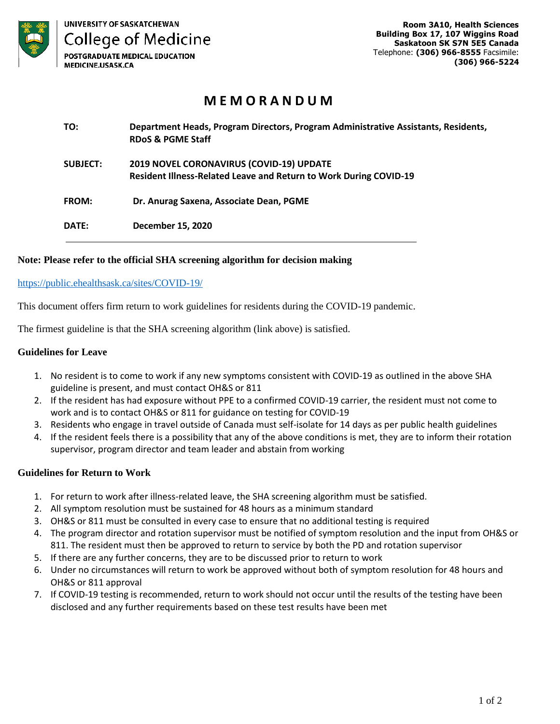

# **M E M O R A N D U M**

| TO:             | Department Heads, Program Directors, Program Administrative Assistants, Residents,<br><b>RDoS &amp; PGME Staff</b> |
|-----------------|--------------------------------------------------------------------------------------------------------------------|
| <b>SUBJECT:</b> | 2019 NOVEL CORONAVIRUS (COVID-19) UPDATE<br>Resident Illness-Related Leave and Return to Work During COVID-19      |
| <b>FROM:</b>    | Dr. Anurag Saxena, Associate Dean, PGME                                                                            |
| DATE:           | December 15, 2020                                                                                                  |

## **Note: Please refer to the official SHA screening algorithm for decision making**

### <https://public.ehealthsask.ca/sites/COVID-19/>

This document offers firm return to work guidelines for residents during the COVID-19 pandemic.

The firmest guideline is that the SHA screening algorithm (link above) is satisfied.

### **Guidelines for Leave**

- 1. No resident is to come to work if any new symptoms consistent with COVID-19 as outlined in the above SHA guideline is present, and must contact OH&S or 811
- 2. If the resident has had exposure without PPE to a confirmed COVID-19 carrier, the resident must not come to work and is to contact OH&S or 811 for guidance on testing for COVID-19
- 3. Residents who engage in travel outside of Canada must self-isolate for 14 days as per public health guidelines
- 4. If the resident feels there is a possibility that any of the above conditions is met, they are to inform their rotation supervisor, program director and team leader and abstain from working

## **Guidelines for Return to Work**

- 1. For return to work after illness-related leave, the SHA screening algorithm must be satisfied.
- 2. All symptom resolution must be sustained for 48 hours as a minimum standard
- 3. OH&S or 811 must be consulted in every case to ensure that no additional testing is required
- 4. The program director and rotation supervisor must be notified of symptom resolution and the input from OH&S or 811. The resident must then be approved to return to service by both the PD and rotation supervisor
- 5. If there are any further concerns, they are to be discussed prior to return to work
- 6. Under no circumstances will return to work be approved without both of symptom resolution for 48 hours and OH&S or 811 approval
- 7. If COVID-19 testing is recommended, return to work should not occur until the results of the testing have been disclosed and any further requirements based on these test results have been met